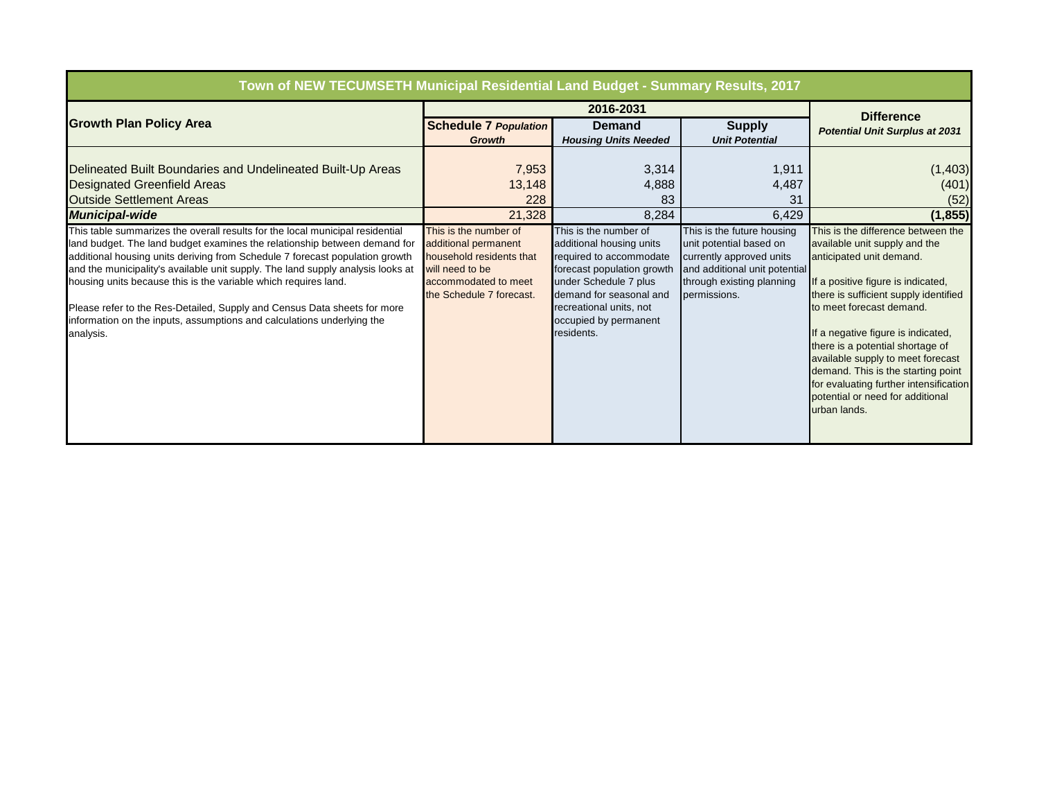| Town of NEW TECUMSETH Municipal Residential Land Budget - Summary Results, 2017                                                                                                                                                                                                                                                                                                                                                                                                                                                                                     |                                                                                                                                                  |                                                                                                                                                                                                                                  |                                                                                                                                                                 |                                                                                                                                                                                                                                                                                                                                                                                                                                                               |
|---------------------------------------------------------------------------------------------------------------------------------------------------------------------------------------------------------------------------------------------------------------------------------------------------------------------------------------------------------------------------------------------------------------------------------------------------------------------------------------------------------------------------------------------------------------------|--------------------------------------------------------------------------------------------------------------------------------------------------|----------------------------------------------------------------------------------------------------------------------------------------------------------------------------------------------------------------------------------|-----------------------------------------------------------------------------------------------------------------------------------------------------------------|---------------------------------------------------------------------------------------------------------------------------------------------------------------------------------------------------------------------------------------------------------------------------------------------------------------------------------------------------------------------------------------------------------------------------------------------------------------|
|                                                                                                                                                                                                                                                                                                                                                                                                                                                                                                                                                                     |                                                                                                                                                  | <b>Difference</b>                                                                                                                                                                                                                |                                                                                                                                                                 |                                                                                                                                                                                                                                                                                                                                                                                                                                                               |
| <b>Growth Plan Policy Area</b>                                                                                                                                                                                                                                                                                                                                                                                                                                                                                                                                      | <b>Schedule 7 Population</b>                                                                                                                     | <b>Demand</b>                                                                                                                                                                                                                    | <b>Supply</b>                                                                                                                                                   | <b>Potential Unit Surplus at 2031</b>                                                                                                                                                                                                                                                                                                                                                                                                                         |
|                                                                                                                                                                                                                                                                                                                                                                                                                                                                                                                                                                     | <b>Growth</b>                                                                                                                                    | <b>Housing Units Needed</b>                                                                                                                                                                                                      | <b>Unit Potential</b>                                                                                                                                           |                                                                                                                                                                                                                                                                                                                                                                                                                                                               |
| Delineated Built Boundaries and Undelineated Built-Up Areas                                                                                                                                                                                                                                                                                                                                                                                                                                                                                                         | 7,953                                                                                                                                            | 3,314                                                                                                                                                                                                                            | 1,911                                                                                                                                                           | (1, 403)                                                                                                                                                                                                                                                                                                                                                                                                                                                      |
| <b>Designated Greenfield Areas</b>                                                                                                                                                                                                                                                                                                                                                                                                                                                                                                                                  | 13,148                                                                                                                                           | 4,888                                                                                                                                                                                                                            | 4,487                                                                                                                                                           | (401)                                                                                                                                                                                                                                                                                                                                                                                                                                                         |
| <b>Outside Settlement Areas</b>                                                                                                                                                                                                                                                                                                                                                                                                                                                                                                                                     | 228                                                                                                                                              | 83                                                                                                                                                                                                                               | 31                                                                                                                                                              | (52)                                                                                                                                                                                                                                                                                                                                                                                                                                                          |
| <b>Municipal-wide</b>                                                                                                                                                                                                                                                                                                                                                                                                                                                                                                                                               | 21,328                                                                                                                                           | 8,284                                                                                                                                                                                                                            | 6,429                                                                                                                                                           | (1, 855)                                                                                                                                                                                                                                                                                                                                                                                                                                                      |
| This table summarizes the overall results for the local municipal residential<br>land budget. The land budget examines the relationship between demand for<br>additional housing units deriving from Schedule 7 forecast population growth<br>and the municipality's available unit supply. The land supply analysis looks at<br>housing units because this is the variable which requires land.<br>Please refer to the Res-Detailed, Supply and Census Data sheets for more<br>information on the inputs, assumptions and calculations underlying the<br>analysis. | This is the number of<br>additional permanent<br>household residents that<br>will need to be<br>accommodated to meet<br>the Schedule 7 forecast. | This is the number of<br>additional housing units<br>required to accommodate<br>forecast population growth<br>under Schedule 7 plus<br>demand for seasonal and<br>recreational units, not<br>occupied by permanent<br>residents. | This is the future housing<br>unit potential based on<br>currently approved units<br>and additional unit potential<br>through existing planning<br>permissions. | This is the difference between the<br>available unit supply and the<br>anticipated unit demand.<br>If a positive figure is indicated,<br>there is sufficient supply identified<br>to meet forecast demand.<br>If a negative figure is indicated,<br>there is a potential shortage of<br>available supply to meet forecast<br>demand. This is the starting point<br>for evaluating further intensification<br>potential or need for additional<br>urban lands. |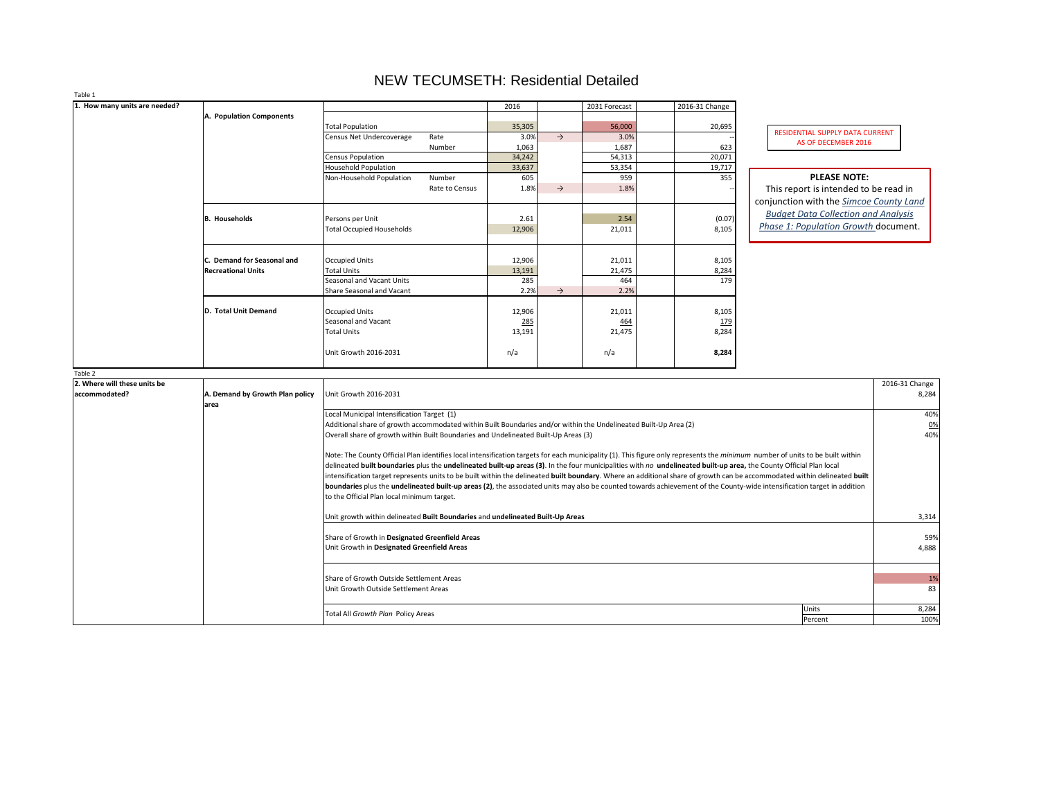| RESIDENTIAL SUPPLY DATA CURRENT |
|---------------------------------|
| AS OF DECEMBER 2016             |

| 1. How many units are needed? |                                 |                                                                                                                                                                                      | 2016           |               | 2031 Forecast  | 2016-31 Change |                                                |                  |
|-------------------------------|---------------------------------|--------------------------------------------------------------------------------------------------------------------------------------------------------------------------------------|----------------|---------------|----------------|----------------|------------------------------------------------|------------------|
|                               | A. Population Components        |                                                                                                                                                                                      |                |               |                |                |                                                |                  |
|                               |                                 | <b>Total Population</b><br>Rate                                                                                                                                                      | 35,305<br>3.0% | $\rightarrow$ | 56,000<br>3.0% | 20,695         | RESIDENTIAL SUPPLY DATA CURRENT                |                  |
|                               |                                 | Census Net Undercoverage<br>Number                                                                                                                                                   | 1,063          |               | 1,687          | 623            | AS OF DECEMBER 2016                            |                  |
|                               |                                 | <b>Census Population</b>                                                                                                                                                             | 34,242         |               | 54,313         | 20,071         |                                                |                  |
|                               |                                 | <b>Household Population</b>                                                                                                                                                          | 33,637         |               | 53,354         | 19,717         |                                                |                  |
|                               |                                 | Non-Household Population<br>Number                                                                                                                                                   | 605            |               | 959            | 355            | <b>PLEASE NOTE:</b>                            |                  |
|                               |                                 | Rate to Census                                                                                                                                                                       | 1.8%           | $\rightarrow$ | 1.8%           |                | This report is intended to be read in          |                  |
|                               |                                 |                                                                                                                                                                                      |                |               |                |                | conjunction with the <b>Simcoe County Land</b> |                  |
|                               |                                 |                                                                                                                                                                                      |                |               |                |                | <b>Budget Data Collection and Analysis</b>     |                  |
|                               | <b>B.</b> Households            | Persons per Unit                                                                                                                                                                     | 2.61           |               | 2.54           | (0.07)         |                                                |                  |
|                               |                                 | <b>Total Occupied Households</b>                                                                                                                                                     | 12,906         |               | 21,011         | 8,105          | Phase 1: Population Growth document.           |                  |
|                               |                                 |                                                                                                                                                                                      |                |               |                |                |                                                |                  |
|                               |                                 |                                                                                                                                                                                      |                |               |                |                |                                                |                  |
|                               | C. Demand for Seasonal and      | <b>Occupied Units</b>                                                                                                                                                                | 12,906         |               | 21,011         | 8,105          |                                                |                  |
|                               | <b>Recreational Units</b>       | <b>Total Units</b><br>Seasonal and Vacant Units                                                                                                                                      | 13,191         |               | 21,475         | 8,284          |                                                |                  |
|                               |                                 | <b>Share Seasonal and Vacant</b>                                                                                                                                                     | 285<br>2.2%    | $\rightarrow$ | 464<br>2.2%    | 179            |                                                |                  |
|                               |                                 |                                                                                                                                                                                      |                |               |                |                |                                                |                  |
|                               | D. Total Unit Demand            | <b>Occupied Units</b>                                                                                                                                                                | 12,906         |               | 21,011         | 8,105          |                                                |                  |
|                               |                                 | <b>Seasonal and Vacant</b>                                                                                                                                                           | 285            |               | <u>464</u>     | <u>179</u>     |                                                |                  |
|                               |                                 | Total Units                                                                                                                                                                          | 13,191         |               | 21,475         | 8,284          |                                                |                  |
|                               |                                 |                                                                                                                                                                                      |                |               |                |                |                                                |                  |
|                               |                                 | Unit Growth 2016-2031                                                                                                                                                                | n/a            |               | n/a            | 8,284          |                                                |                  |
|                               |                                 |                                                                                                                                                                                      |                |               |                |                |                                                |                  |
| Table 2                       |                                 |                                                                                                                                                                                      |                |               |                |                |                                                |                  |
| 2. Where will these units be  |                                 |                                                                                                                                                                                      |                |               |                |                |                                                | 2016-31 Change   |
| accommodated?                 | A. Demand by Growth Plan policy | Unit Growth 2016-2031                                                                                                                                                                |                |               |                |                |                                                | 8,284            |
|                               | area                            |                                                                                                                                                                                      |                |               |                |                |                                                |                  |
|                               |                                 | Local Municipal Intensification Target (1)<br>Additional share of growth accommodated within Built Boundaries and/or within the Undelineated Built-Up Area (2)                       |                |               |                |                |                                                | 40%              |
|                               |                                 | Overall share of growth within Built Boundaries and Undelineated Built-Up Areas (3)                                                                                                  |                |               |                |                |                                                | <u>0%</u><br>40% |
|                               |                                 |                                                                                                                                                                                      |                |               |                |                |                                                |                  |
|                               |                                 | Note: The County Official Plan identifies local intensification targets for each municipality (1). This figure only represents the <i>minimum</i> number of units to be built within |                |               |                |                |                                                |                  |
|                               |                                 | delineated built boundaries plus the undelineated built-up areas (3). In the four municipalities with no undelineated built-up area, the County Official Plan local                  |                |               |                |                |                                                |                  |
|                               |                                 | intensification target represents units to be built within the delineated built boundary. Where an additional share of growth can be accommodated within delineated built            |                |               |                |                |                                                |                  |
|                               |                                 | boundaries plus the undelineated built-up areas (2), the associated units may also be counted towards achievement of the County-wide intensification target in addition              |                |               |                |                |                                                |                  |
|                               |                                 | to the Official Plan local minimum target.                                                                                                                                           |                |               |                |                |                                                |                  |
|                               |                                 |                                                                                                                                                                                      |                |               |                |                |                                                |                  |
|                               |                                 | Unit growth within delineated Built Boundaries and undelineated Built-Up Areas                                                                                                       |                |               |                |                |                                                | 3,314            |
|                               |                                 |                                                                                                                                                                                      |                |               |                |                |                                                |                  |
|                               |                                 | Share of Growth in Designated Greenfield Areas                                                                                                                                       |                |               |                |                |                                                | 59%              |
|                               |                                 | Unit Growth in Designated Greenfield Areas                                                                                                                                           |                |               |                |                |                                                | 4,888            |
|                               |                                 |                                                                                                                                                                                      |                |               |                |                |                                                |                  |
|                               |                                 |                                                                                                                                                                                      |                |               |                |                |                                                |                  |
|                               |                                 | Share of Growth Outside Settlement Areas<br>Unit Growth Outside Settlement Areas                                                                                                     |                |               |                |                |                                                | 1%<br>83         |
|                               |                                 |                                                                                                                                                                                      |                |               |                |                |                                                |                  |
|                               |                                 |                                                                                                                                                                                      |                |               |                |                | Units                                          | 8,284            |
|                               |                                 | Total All Growth Plan Policy Areas                                                                                                                                                   |                |               |                |                | Percent                                        | 100%             |
|                               |                                 |                                                                                                                                                                                      |                |               |                |                |                                                |                  |

# NEW TECUMSETH: Residential Detailed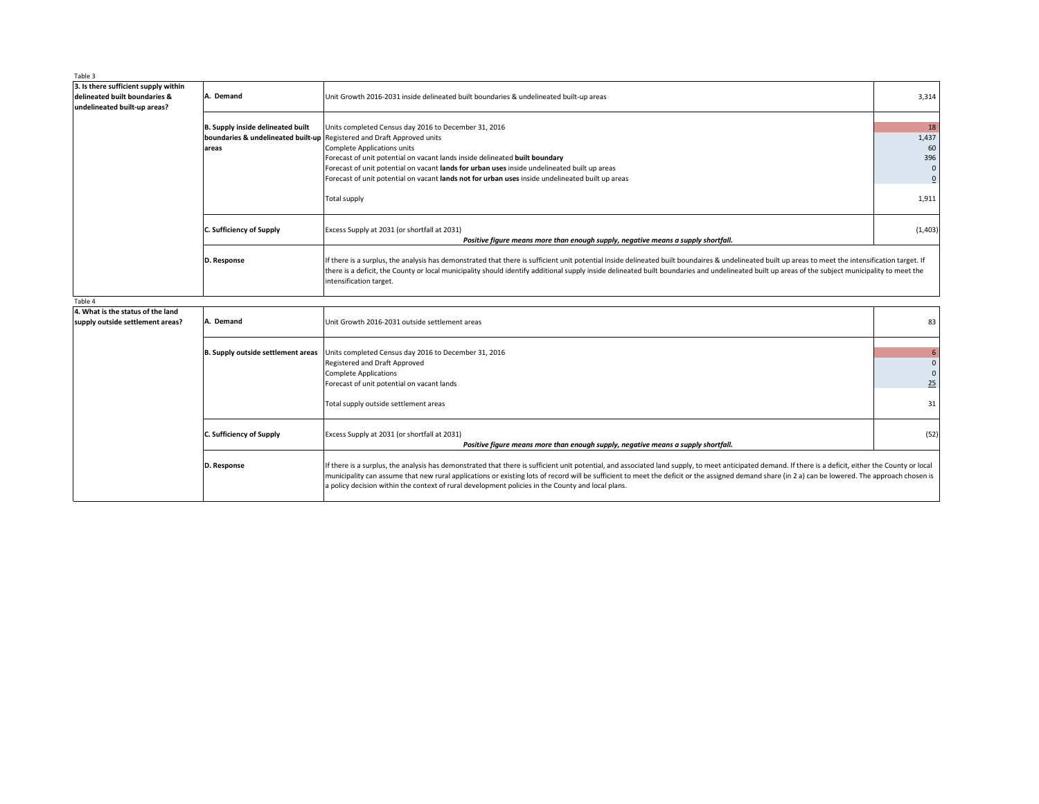| Table 3                                                                                               |                                                   |                                                                                                                                                                                                                                                                                                                                                                                                                                                                                                                    |                               |
|-------------------------------------------------------------------------------------------------------|---------------------------------------------------|--------------------------------------------------------------------------------------------------------------------------------------------------------------------------------------------------------------------------------------------------------------------------------------------------------------------------------------------------------------------------------------------------------------------------------------------------------------------------------------------------------------------|-------------------------------|
| 3. Is there sufficient supply within<br>delineated built boundaries &<br>undelineated built-up areas? | A. Demand                                         | Unit Growth 2016-2031 inside delineated built boundaries & undelineated built-up areas                                                                                                                                                                                                                                                                                                                                                                                                                             | 3,314                         |
|                                                                                                       | <b>B. Supply inside delineated built</b><br>areas | Units completed Census day 2016 to December 31, 2016<br><b>boundaries &amp; undelineated built-up Registered and Draft Approved units</b><br>Complete Applications units<br>Forecast of unit potential on vacant lands inside delineated built boundary<br>Forecast of unit potential on vacant lands for urban uses inside undelineated built up areas<br>Forecast of unit potential on vacant lands not for urban uses inside undelineated built up areas                                                        | 18<br>1,437<br>60<br>396      |
|                                                                                                       |                                                   | <b>Total supply</b>                                                                                                                                                                                                                                                                                                                                                                                                                                                                                                | 1,911                         |
|                                                                                                       | <b>C. Sufficiency of Supply</b>                   | Excess Supply at 2031 (or shortfall at 2031)<br>Positive figure means more than enough supply, negative means a supply shortfall.                                                                                                                                                                                                                                                                                                                                                                                  | (1, 403)                      |
|                                                                                                       | D. Response                                       | If there is a surplus, the analysis has demonstrated that there is sufficient unit potential inside delineated built boundaires & undelineated built up areas to meet the intensification target. If<br>there is a deficit, the County or local municipality should identify additional supply inside delineated built boundaries and undelineated built up areas of the subject municipality to meet the<br>intensification target.                                                                               |                               |
| Table 4                                                                                               |                                                   |                                                                                                                                                                                                                                                                                                                                                                                                                                                                                                                    |                               |
| 4. What is the status of the land<br>supply outside settlement areas?                                 | A. Demand                                         | Unit Growth 2016-2031 outside settlement areas                                                                                                                                                                                                                                                                                                                                                                                                                                                                     | 83                            |
|                                                                                                       | <b>B. Supply outside settlement areas</b>         | Units completed Census day 2016 to December 31, 2016<br>Registered and Draft Approved<br><b>Complete Applications</b><br>Forecast of unit potential on vacant lands<br>Total supply outside settlement areas                                                                                                                                                                                                                                                                                                       | 6<br>$\mathbf{0}$<br>25<br>31 |
|                                                                                                       | <b>C. Sufficiency of Supply</b>                   | Excess Supply at 2031 (or shortfall at 2031)<br>Positive figure means more than enough supply, negative means a supply shortfall.                                                                                                                                                                                                                                                                                                                                                                                  | (52)                          |
|                                                                                                       | D. Response                                       | If there is a surplus, the analysis has demonstrated that there is sufficient unit potential, and associated land supply, to meet anticipated demand. If there is a deficit, either the County or local<br>municipality can assume that new rural applications or existing lots of record will be sufficient to meet the deficit or the assigned demand share (in 2 a) can be lowered. The approach chosen is<br>a policy decision within the context of rural development policies in the County and local plans. |                               |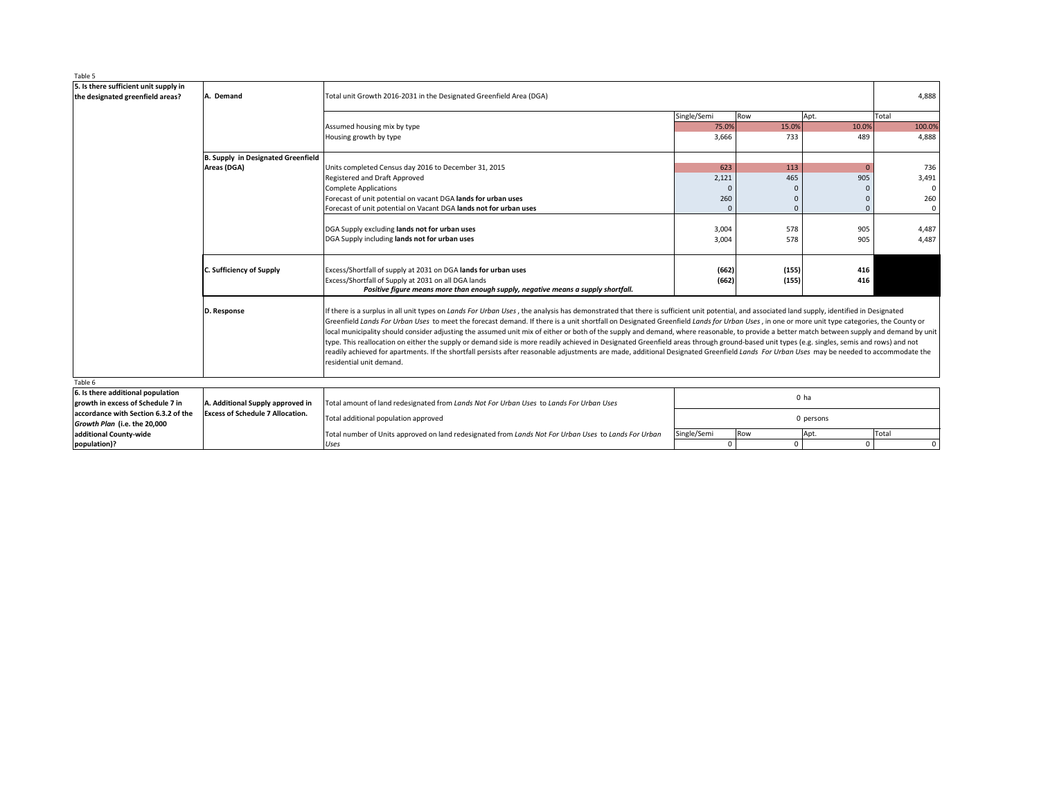| Table 5                                                                                                                                                       |                                                                                                                                                                                                                                                                                                                                                                                                                                                                                                                                                                                                                                                                                                                                                                                                                                                                                                                                                                                                                                                                                                                                                                                                                                                                                                                                                                                                                                                                                                                                                                                                                                                                                                                                                                                                                                                                                                                                                                                                                                                                                                                                                                                                                                                                                                                                                                                                                          |       |  |  |             |             |
|---------------------------------------------------------------------------------------------------------------------------------------------------------------|--------------------------------------------------------------------------------------------------------------------------------------------------------------------------------------------------------------------------------------------------------------------------------------------------------------------------------------------------------------------------------------------------------------------------------------------------------------------------------------------------------------------------------------------------------------------------------------------------------------------------------------------------------------------------------------------------------------------------------------------------------------------------------------------------------------------------------------------------------------------------------------------------------------------------------------------------------------------------------------------------------------------------------------------------------------------------------------------------------------------------------------------------------------------------------------------------------------------------------------------------------------------------------------------------------------------------------------------------------------------------------------------------------------------------------------------------------------------------------------------------------------------------------------------------------------------------------------------------------------------------------------------------------------------------------------------------------------------------------------------------------------------------------------------------------------------------------------------------------------------------------------------------------------------------------------------------------------------------------------------------------------------------------------------------------------------------------------------------------------------------------------------------------------------------------------------------------------------------------------------------------------------------------------------------------------------------------------------------------------------------------------------------------------------------|-------|--|--|-------------|-------------|
| 5. Is there sufficient unit supply in<br>A. Demand<br>Total unit Growth 2016-2031 in the Designated Greenfield Area (DGA)<br>the designated greenfield areas? |                                                                                                                                                                                                                                                                                                                                                                                                                                                                                                                                                                                                                                                                                                                                                                                                                                                                                                                                                                                                                                                                                                                                                                                                                                                                                                                                                                                                                                                                                                                                                                                                                                                                                                                                                                                                                                                                                                                                                                                                                                                                                                                                                                                                                                                                                                                                                                                                                          |       |  |  |             |             |
|                                                                                                                                                               | Single/Semi<br>Row<br>Apt.<br>75.0%<br>15.0%<br>Assumed housing mix by type<br>10.0%<br>3,666<br>733<br>489<br>Housing growth by type<br>B. Supply in Designated Greenfield<br>Areas (DGA)<br>623<br>113<br>Units completed Census day 2016 to December 31, 2015<br>$\overline{0}$<br>465<br>905<br>Registered and Draft Approved<br>2,121<br><b>Complete Applications</b><br>Forecast of unit potential on vacant DGA lands for urban uses<br>260<br>Forecast of unit potential on Vacant DGA lands not for urban uses<br>DGA Supply excluding lands not for urban uses<br>3,004<br>578<br>905<br>DGA Supply including lands not for urban uses<br>3,004<br>578<br>905<br><b>C. Sufficiency of Supply</b><br>Excess/Shortfall of supply at 2031 on DGA lands for urban uses<br>(662)<br>(155)<br>416<br>Excess/Shortfall of Supply at 2031 on all DGA lands<br>(155)<br>(662)<br>416<br>Positive figure means more than enough supply, negative means a supply shortfall.<br>If there is a surplus in all unit types on Lands For Urban Uses, the analysis has demonstrated that there is sufficient unit potential, and associated land supply, identified in Designated<br>D. Response<br>Greenfield Lands For Urban Uses to meet the forecast demand. If there is a unit shortfall on Designated Greenfield Lands for Urban Uses, in one or more unit type categories, the County or<br>local municipality should consider adjusting the assumed unit mix of either or both of the supply and demand, where reasonable, to provide a better match between supply and demand by unit<br>type. This reallocation on either the supply or demand side is more readily achieved in Designated Greenfield areas through ground-based unit types (e.g. singles, semis and rows) and not<br>readily achieved for apartments. If the shortfall persists after reasonable adjustments are made, additional Designated Greenfield Lands For Urban Uses may be needed to accommodate the<br>residential unit demand.<br>0 ha<br>A. Additional Supply approved in<br>Total amount of land redesignated from Lands Not For Urban Uses to Lands For Urban Uses<br><b>Excess of Schedule 7 Allocation.</b><br>Total additional population approved<br>0 persons<br>Single/Semi<br>Total number of Units approved on land redesignated from Lands Not For Urban Uses to Lands For Urban<br>Row<br>Apt.<br>$\mathbf 0$<br>$\mathbf 0$ | Total |  |  |             |             |
|                                                                                                                                                               |                                                                                                                                                                                                                                                                                                                                                                                                                                                                                                                                                                                                                                                                                                                                                                                                                                                                                                                                                                                                                                                                                                                                                                                                                                                                                                                                                                                                                                                                                                                                                                                                                                                                                                                                                                                                                                                                                                                                                                                                                                                                                                                                                                                                                                                                                                                                                                                                                          |       |  |  |             | 100.0%      |
|                                                                                                                                                               |                                                                                                                                                                                                                                                                                                                                                                                                                                                                                                                                                                                                                                                                                                                                                                                                                                                                                                                                                                                                                                                                                                                                                                                                                                                                                                                                                                                                                                                                                                                                                                                                                                                                                                                                                                                                                                                                                                                                                                                                                                                                                                                                                                                                                                                                                                                                                                                                                          |       |  |  |             | 4,888       |
|                                                                                                                                                               |                                                                                                                                                                                                                                                                                                                                                                                                                                                                                                                                                                                                                                                                                                                                                                                                                                                                                                                                                                                                                                                                                                                                                                                                                                                                                                                                                                                                                                                                                                                                                                                                                                                                                                                                                                                                                                                                                                                                                                                                                                                                                                                                                                                                                                                                                                                                                                                                                          |       |  |  |             |             |
|                                                                                                                                                               |                                                                                                                                                                                                                                                                                                                                                                                                                                                                                                                                                                                                                                                                                                                                                                                                                                                                                                                                                                                                                                                                                                                                                                                                                                                                                                                                                                                                                                                                                                                                                                                                                                                                                                                                                                                                                                                                                                                                                                                                                                                                                                                                                                                                                                                                                                                                                                                                                          |       |  |  |             | 736         |
|                                                                                                                                                               |                                                                                                                                                                                                                                                                                                                                                                                                                                                                                                                                                                                                                                                                                                                                                                                                                                                                                                                                                                                                                                                                                                                                                                                                                                                                                                                                                                                                                                                                                                                                                                                                                                                                                                                                                                                                                                                                                                                                                                                                                                                                                                                                                                                                                                                                                                                                                                                                                          |       |  |  |             | 3,491       |
|                                                                                                                                                               |                                                                                                                                                                                                                                                                                                                                                                                                                                                                                                                                                                                                                                                                                                                                                                                                                                                                                                                                                                                                                                                                                                                                                                                                                                                                                                                                                                                                                                                                                                                                                                                                                                                                                                                                                                                                                                                                                                                                                                                                                                                                                                                                                                                                                                                                                                                                                                                                                          |       |  |  |             | $\Omega$    |
|                                                                                                                                                               |                                                                                                                                                                                                                                                                                                                                                                                                                                                                                                                                                                                                                                                                                                                                                                                                                                                                                                                                                                                                                                                                                                                                                                                                                                                                                                                                                                                                                                                                                                                                                                                                                                                                                                                                                                                                                                                                                                                                                                                                                                                                                                                                                                                                                                                                                                                                                                                                                          |       |  |  |             | 260         |
|                                                                                                                                                               |                                                                                                                                                                                                                                                                                                                                                                                                                                                                                                                                                                                                                                                                                                                                                                                                                                                                                                                                                                                                                                                                                                                                                                                                                                                                                                                                                                                                                                                                                                                                                                                                                                                                                                                                                                                                                                                                                                                                                                                                                                                                                                                                                                                                                                                                                                                                                                                                                          |       |  |  |             | $\mathbf 0$ |
|                                                                                                                                                               |                                                                                                                                                                                                                                                                                                                                                                                                                                                                                                                                                                                                                                                                                                                                                                                                                                                                                                                                                                                                                                                                                                                                                                                                                                                                                                                                                                                                                                                                                                                                                                                                                                                                                                                                                                                                                                                                                                                                                                                                                                                                                                                                                                                                                                                                                                                                                                                                                          |       |  |  |             |             |
|                                                                                                                                                               |                                                                                                                                                                                                                                                                                                                                                                                                                                                                                                                                                                                                                                                                                                                                                                                                                                                                                                                                                                                                                                                                                                                                                                                                                                                                                                                                                                                                                                                                                                                                                                                                                                                                                                                                                                                                                                                                                                                                                                                                                                                                                                                                                                                                                                                                                                                                                                                                                          |       |  |  | 4,487       |             |
|                                                                                                                                                               |                                                                                                                                                                                                                                                                                                                                                                                                                                                                                                                                                                                                                                                                                                                                                                                                                                                                                                                                                                                                                                                                                                                                                                                                                                                                                                                                                                                                                                                                                                                                                                                                                                                                                                                                                                                                                                                                                                                                                                                                                                                                                                                                                                                                                                                                                                                                                                                                                          |       |  |  | 4,487       |             |
|                                                                                                                                                               |                                                                                                                                                                                                                                                                                                                                                                                                                                                                                                                                                                                                                                                                                                                                                                                                                                                                                                                                                                                                                                                                                                                                                                                                                                                                                                                                                                                                                                                                                                                                                                                                                                                                                                                                                                                                                                                                                                                                                                                                                                                                                                                                                                                                                                                                                                                                                                                                                          |       |  |  |             |             |
|                                                                                                                                                               |                                                                                                                                                                                                                                                                                                                                                                                                                                                                                                                                                                                                                                                                                                                                                                                                                                                                                                                                                                                                                                                                                                                                                                                                                                                                                                                                                                                                                                                                                                                                                                                                                                                                                                                                                                                                                                                                                                                                                                                                                                                                                                                                                                                                                                                                                                                                                                                                                          |       |  |  |             |             |
|                                                                                                                                                               |                                                                                                                                                                                                                                                                                                                                                                                                                                                                                                                                                                                                                                                                                                                                                                                                                                                                                                                                                                                                                                                                                                                                                                                                                                                                                                                                                                                                                                                                                                                                                                                                                                                                                                                                                                                                                                                                                                                                                                                                                                                                                                                                                                                                                                                                                                                                                                                                                          |       |  |  |             |             |
|                                                                                                                                                               |                                                                                                                                                                                                                                                                                                                                                                                                                                                                                                                                                                                                                                                                                                                                                                                                                                                                                                                                                                                                                                                                                                                                                                                                                                                                                                                                                                                                                                                                                                                                                                                                                                                                                                                                                                                                                                                                                                                                                                                                                                                                                                                                                                                                                                                                                                                                                                                                                          |       |  |  |             |             |
|                                                                                                                                                               |                                                                                                                                                                                                                                                                                                                                                                                                                                                                                                                                                                                                                                                                                                                                                                                                                                                                                                                                                                                                                                                                                                                                                                                                                                                                                                                                                                                                                                                                                                                                                                                                                                                                                                                                                                                                                                                                                                                                                                                                                                                                                                                                                                                                                                                                                                                                                                                                                          |       |  |  |             |             |
| Table 6                                                                                                                                                       |                                                                                                                                                                                                                                                                                                                                                                                                                                                                                                                                                                                                                                                                                                                                                                                                                                                                                                                                                                                                                                                                                                                                                                                                                                                                                                                                                                                                                                                                                                                                                                                                                                                                                                                                                                                                                                                                                                                                                                                                                                                                                                                                                                                                                                                                                                                                                                                                                          |       |  |  |             |             |
| 6. Is there additional population                                                                                                                             |                                                                                                                                                                                                                                                                                                                                                                                                                                                                                                                                                                                                                                                                                                                                                                                                                                                                                                                                                                                                                                                                                                                                                                                                                                                                                                                                                                                                                                                                                                                                                                                                                                                                                                                                                                                                                                                                                                                                                                                                                                                                                                                                                                                                                                                                                                                                                                                                                          |       |  |  |             |             |
| growth in excess of Schedule 7 in                                                                                                                             |                                                                                                                                                                                                                                                                                                                                                                                                                                                                                                                                                                                                                                                                                                                                                                                                                                                                                                                                                                                                                                                                                                                                                                                                                                                                                                                                                                                                                                                                                                                                                                                                                                                                                                                                                                                                                                                                                                                                                                                                                                                                                                                                                                                                                                                                                                                                                                                                                          |       |  |  |             |             |
| accordance with Section 6.3.2 of the                                                                                                                          |                                                                                                                                                                                                                                                                                                                                                                                                                                                                                                                                                                                                                                                                                                                                                                                                                                                                                                                                                                                                                                                                                                                                                                                                                                                                                                                                                                                                                                                                                                                                                                                                                                                                                                                                                                                                                                                                                                                                                                                                                                                                                                                                                                                                                                                                                                                                                                                                                          |       |  |  |             |             |
| Growth Plan (i.e. the 20,000                                                                                                                                  |                                                                                                                                                                                                                                                                                                                                                                                                                                                                                                                                                                                                                                                                                                                                                                                                                                                                                                                                                                                                                                                                                                                                                                                                                                                                                                                                                                                                                                                                                                                                                                                                                                                                                                                                                                                                                                                                                                                                                                                                                                                                                                                                                                                                                                                                                                                                                                                                                          |       |  |  |             |             |
| additional County-wide                                                                                                                                        |                                                                                                                                                                                                                                                                                                                                                                                                                                                                                                                                                                                                                                                                                                                                                                                                                                                                                                                                                                                                                                                                                                                                                                                                                                                                                                                                                                                                                                                                                                                                                                                                                                                                                                                                                                                                                                                                                                                                                                                                                                                                                                                                                                                                                                                                                                                                                                                                                          |       |  |  |             | Total       |
| population)?                                                                                                                                                  |                                                                                                                                                                                                                                                                                                                                                                                                                                                                                                                                                                                                                                                                                                                                                                                                                                                                                                                                                                                                                                                                                                                                                                                                                                                                                                                                                                                                                                                                                                                                                                                                                                                                                                                                                                                                                                                                                                                                                                                                                                                                                                                                                                                                                                                                                                                                                                                                                          | Uses  |  |  | $\mathbf 0$ | $\Omega$    |

|     |             |     | 0 <sub>ha</sub> |       |
|-----|-------------|-----|-----------------|-------|
|     |             |     | 0 persons       |       |
| ban | Single/Semi | Row | Apt.            | Total |
|     |             |     |                 |       |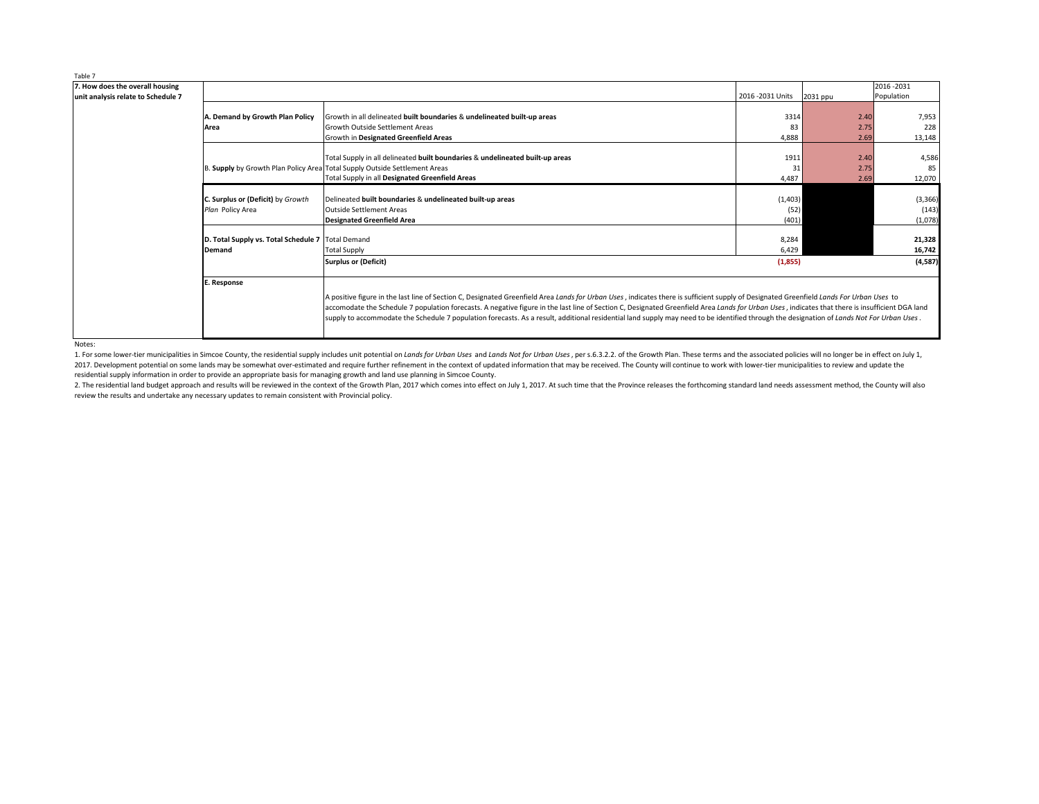Notes:

1. For some lower-tier municipalities in Simcoe County, the residential supply includes unit potential on Lands for Urban Uses and Lands Not for Urban Uses, per s.6.3.2.2. of the Growth Plan. These terms and the associated 2017. Development potential on some lands may be somewhat over-estimated and require further refinement in the context of updated information that may be received. The County will continue to work with lower-tier municipal residential supply information in order to provide an appropriate basis for managing growth and land use planning in Simcoe County.

2. The residential land budget approach and results will be reviewed in the context of the Growth Plan, 2017 which comes into effect on July 1, 2017. At such time that the Province releases the forthcoming standard land ne review the results and undertake any necessary updates to remain consistent with Provincial policy.

| Table 7                            |                                                     |                                                                                                                                                                                                                                                                                                                                                                                                                                                                                                                                                                                         |                   |          |             |  |
|------------------------------------|-----------------------------------------------------|-----------------------------------------------------------------------------------------------------------------------------------------------------------------------------------------------------------------------------------------------------------------------------------------------------------------------------------------------------------------------------------------------------------------------------------------------------------------------------------------------------------------------------------------------------------------------------------------|-------------------|----------|-------------|--|
| 7. How does the overall housing    |                                                     |                                                                                                                                                                                                                                                                                                                                                                                                                                                                                                                                                                                         |                   |          | 2016 - 2031 |  |
| unit analysis relate to Schedule 7 |                                                     |                                                                                                                                                                                                                                                                                                                                                                                                                                                                                                                                                                                         | 2016 - 2031 Units | 2031 ppu | Population  |  |
|                                    |                                                     |                                                                                                                                                                                                                                                                                                                                                                                                                                                                                                                                                                                         |                   |          |             |  |
|                                    | A. Demand by Growth Plan Policy                     | Growth in all delineated built boundaries & undelineated built-up areas                                                                                                                                                                                                                                                                                                                                                                                                                                                                                                                 | 3314              | 2.40     | 7,953       |  |
|                                    | Area                                                | Growth Outside Settlement Areas                                                                                                                                                                                                                                                                                                                                                                                                                                                                                                                                                         | 83                | 2.75     | 228         |  |
|                                    |                                                     | <b>Growth in Designated Greenfield Areas</b>                                                                                                                                                                                                                                                                                                                                                                                                                                                                                                                                            | 4,888             | 2.69     | 13,148      |  |
|                                    |                                                     |                                                                                                                                                                                                                                                                                                                                                                                                                                                                                                                                                                                         |                   |          |             |  |
|                                    |                                                     | Total Supply in all delineated built boundaries & undelineated built-up areas                                                                                                                                                                                                                                                                                                                                                                                                                                                                                                           | 1911              | 2.40     | 4,586       |  |
|                                    |                                                     | B. Supply by Growth Plan Policy Area Total Supply Outside Settlement Areas                                                                                                                                                                                                                                                                                                                                                                                                                                                                                                              | 31                | 2.75     | 85          |  |
|                                    |                                                     | Total Supply in all Designated Greenfield Areas                                                                                                                                                                                                                                                                                                                                                                                                                                                                                                                                         | 4,487             | 2.69     | 12,070      |  |
|                                    | C. Surplus or (Deficit) by Growth                   | Delineated built boundaries & undelineated built-up areas                                                                                                                                                                                                                                                                                                                                                                                                                                                                                                                               | (1,403)           |          | (3, 366)    |  |
|                                    | Plan Policy Area                                    | Outside Settlement Areas                                                                                                                                                                                                                                                                                                                                                                                                                                                                                                                                                                | (52)              |          | (143)       |  |
|                                    |                                                     | Designated Greenfield Area                                                                                                                                                                                                                                                                                                                                                                                                                                                                                                                                                              | (401)             |          | (1,078)     |  |
|                                    |                                                     |                                                                                                                                                                                                                                                                                                                                                                                                                                                                                                                                                                                         |                   |          |             |  |
|                                    | D. Total Supply vs. Total Schedule 7   Total Demand |                                                                                                                                                                                                                                                                                                                                                                                                                                                                                                                                                                                         | 8,284             |          | 21,328      |  |
|                                    | <b>Demand</b>                                       | <b>Total Supply</b>                                                                                                                                                                                                                                                                                                                                                                                                                                                                                                                                                                     | 6,429             |          | 16,742      |  |
|                                    |                                                     | <b>Surplus or (Deficit)</b>                                                                                                                                                                                                                                                                                                                                                                                                                                                                                                                                                             | (1,855)           |          | (4, 587)    |  |
|                                    | E. Response                                         |                                                                                                                                                                                                                                                                                                                                                                                                                                                                                                                                                                                         |                   |          |             |  |
|                                    |                                                     | A positive figure in the last line of Section C, Designated Greenfield Area Lands for Urban Uses, indicates there is sufficient supply of Designated Greenfield Lands For Urban Uses to<br>accomodate the Schedule 7 population forecasts. A negative figure in the last line of Section C, Designated Greenfield Area Lands for Urban Uses, indicates that there is insufficient DGA land<br>supply to accommodate the Schedule 7 population forecasts. As a result, additional residential land supply may need to be identified through the designation of Lands Not For Urban Uses. |                   |          |             |  |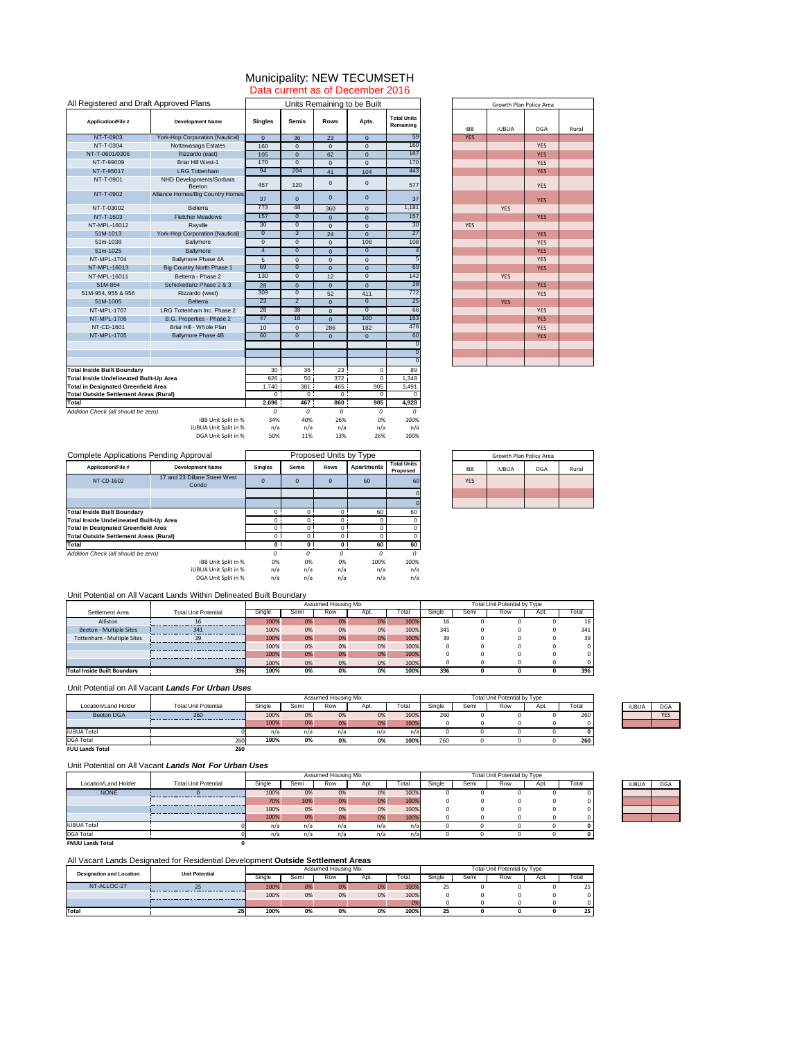|                                 |            | Growth Plan Policy Area |            |       |
|---------------------------------|------------|-------------------------|------------|-------|
| <b>Total Units</b><br>Remaining | iBB        | <b>iUBUA</b>            | <b>DGA</b> | Rural |
| 59                              | <b>YES</b> |                         |            |       |
| 160                             |            |                         | <b>YES</b> |       |
| 167                             |            |                         | <b>YES</b> |       |
| 170                             |            |                         | <b>YES</b> |       |
| 443                             |            |                         | <b>YES</b> |       |
| 577                             |            |                         | <b>YES</b> |       |
| 37                              |            |                         | <b>YES</b> |       |
| 1,181                           |            | <b>YES</b>              |            |       |
| 157                             |            |                         | <b>YES</b> |       |
| 30                              | <b>YES</b> |                         |            |       |
| 27                              |            |                         | <b>YES</b> |       |
| 108                             |            |                         | <b>YES</b> |       |
| $\overline{4}$                  |            |                         | <b>YES</b> |       |
| $\overline{5}$                  |            |                         | <b>YES</b> |       |
| 69                              |            |                         | <b>YES</b> |       |
| 142                             |            | <b>YES</b>              |            |       |
| 28                              |            |                         | <b>YES</b> |       |
| 772                             |            |                         | <b>YES</b> |       |
| 25                              |            | <b>YES</b>              |            |       |
| 66                              |            |                         | <b>YES</b> |       |
| 163                             |            |                         | <b>YES</b> |       |
| 478                             |            |                         | <b>YES</b> |       |
| 60                              |            |                         | <b>YES</b> |       |
| $\overline{0}$                  |            |                         |            |       |
| $\overline{0}$                  |            |                         |            |       |
| $\overline{0}$                  |            |                         |            |       |

| All Registered and Draft Approved Plans       |                                        | Units Remaining to be Built |                  |                |                |                                 |            | Growth Plan Policy Ar |            |
|-----------------------------------------------|----------------------------------------|-----------------------------|------------------|----------------|----------------|---------------------------------|------------|-----------------------|------------|
| <b>Application/File #</b>                     | <b>Development Name</b>                | <b>Singles</b>              | <b>Semis</b>     | <b>Rows</b>    | Apts.          | <b>Total Units</b><br>Remaining | iBB        | <b>iUBUA</b>          | DGA        |
| NT-T-0903                                     | <b>York-Hop Corporation (Nautical)</b> | $\Omega$                    | 36               | 23             | $\overline{0}$ | 59                              | <b>YES</b> |                       |            |
| NT-T-0304                                     | Nottawasaga Estates                    | 160                         | $\overline{0}$   | $\overline{0}$ | $\overline{0}$ | 160                             |            |                       | <b>YES</b> |
| NT-T-0601/0306                                | Rizzardo (east)                        | 105                         | $\overline{0}$   | 62             | $\overline{0}$ | 167                             |            |                       | <b>YES</b> |
| NT-T-99009                                    | <b>Briar Hill West-1</b>               | 170                         | $\overline{0}$   | $\overline{0}$ | $\overline{0}$ | 170                             |            |                       | <b>YES</b> |
| NT-T-95017                                    | <b>LRG Tottenham</b>                   | 94                          | 204              | 41             | 104            | 443                             |            |                       | <b>YES</b> |
| NT-T-0901                                     | NHD Developments/Sorbara<br>Beeton     | 457                         | 120              | $\overline{0}$ | $\mathbf 0$    | 577                             |            |                       | <b>YES</b> |
| NT-T-0902                                     | Alliance Homes/Big Country Homes       | 37                          | $\overline{0}$   | $\overline{0}$ | $\overline{0}$ | 37                              |            |                       | <b>YES</b> |
| NT-T-03002                                    | <b>Belterra</b>                        | 773                         | 48               | 360            | $\overline{0}$ | 1,181                           |            | <b>YES</b>            |            |
| NT-T-1603                                     | <b>Fletcher Meadows</b>                | 157                         | $\overline{0}$   | $\overline{0}$ | $\overline{0}$ | 157                             |            |                       | <b>YES</b> |
| NT-MPL-16012                                  | Rayville                               | 30                          | $\overline{0}$   | $\overline{0}$ | $\Omega$       | 30                              | <b>YES</b> |                       |            |
| 51M-1013                                      | <b>York-Hop Corporation (Nautical)</b> | $\overline{0}$              | 3 <sup>2</sup>   | 24             | $\overline{0}$ | 27                              |            |                       | <b>YES</b> |
| 51m-1038                                      | <b>Ballymore</b>                       | $\overline{0}$              | $\overline{0}$   | $\overline{0}$ | 108            | 108                             |            |                       | <b>YES</b> |
| 51m-1025                                      | <b>Ballymore</b>                       | $\overline{4}$              | $\overline{0}$   | $\overline{0}$ | $\overline{0}$ |                                 |            |                       | <b>YES</b> |
| <b>NT-MPL-1704</b>                            | <b>Ballymore Phase 4A</b>              | 5                           | $\overline{0}$   | $\overline{0}$ | $\mathbf 0$    |                                 |            |                       | <b>YES</b> |
| NT-MPL-16013                                  | <b>Big Country North Phase 1</b>       | 69                          | $\overline{0}$   | $\overline{0}$ | $\overline{0}$ | 69                              |            |                       | <b>YES</b> |
| NT-MPL-16011                                  | Belterra - Phase 2                     | 130                         | $\overline{0}$   | 12             | $\overline{0}$ | 142                             |            | <b>YES</b>            |            |
| 51M-864                                       | Schickedanz Phase 2 & 3                | 28                          | $\overline{0}$   | $\overline{0}$ | $\Omega$       | 28                              |            |                       | <b>YES</b> |
| 51M-954, 955 & 956                            | Rizzardo (west)                        | 309                         | $\overline{0}$   | 52             | 411            | 772                             |            |                       | <b>YES</b> |
| 51M-1005                                      | <b>Belterra</b>                        | $\overline{23}$             | $\overline{2}$   | $\overline{0}$ | $\overline{0}$ | 25                              |            | <b>YES</b>            |            |
| NT-MPL-1707                                   | LRG Tottenham Inc. Phase 2             | 28                          | 38               | $\overline{0}$ | $\overline{0}$ | 66                              |            |                       | <b>YES</b> |
| <b>NT-MPL-1706</b>                            | B.G. Properties - Phase 2              | 47                          | 16               | $\overline{0}$ | 100            | 163                             |            |                       | <b>YES</b> |
| <b>NT-CD-1601</b>                             | Briar Hill - Whole Plan                | 10                          | $\overline{0}$   | 286            | 182            | 478                             |            |                       | <b>YES</b> |
| <b>NT-MPL-1705</b>                            | <b>Ballymore Phase 4B</b>              | 60                          | $\overline{0}$   | $\overline{0}$ | $\overline{0}$ | 60                              |            |                       | <b>YES</b> |
|                                               |                                        |                             |                  |                |                |                                 |            |                       |            |
|                                               |                                        |                             |                  |                |                |                                 |            |                       |            |
| <b>Total Inside Built Boundary</b>            |                                        | 30                          | 36               | 23             | 0              | 89                              |            |                       |            |
| Total Inside Undelineated Built-Up Area       |                                        | 926                         | 50               | 372            | $\Omega$       | 1,348                           |            |                       |            |
| <b>Total in Designated Greenfield Area</b>    |                                        | 1,740                       | 381              | 465            | 905            | 3,491                           |            |                       |            |
| <b>Total Outside Settlement Areas (Rural)</b> |                                        | 0 <sup>1</sup>              | 0 <sup>1</sup>   | $\overline{0}$ | 0              | $\Omega$                        |            |                       |            |
| <b>Total</b>                                  |                                        | 2,696                       | 467 <sup>1</sup> | 860            | 905            | 4,928                           |            |                       |            |
| Addition Check (all should be zero)           |                                        | 0                           | 0                | 0              | 0              | 0                               |            |                       |            |
|                                               | iBB Unit Split in %                    | 34%                         | 40%              | 26%            | 0%             | 100%                            |            |                       |            |
|                                               | iUBUA Unit Split in %                  | n/a                         | n/a              | n/a            | n/a            | n/a                             |            |                       |            |
|                                               | DGA Unit Split in %                    | 50%                         | 11%              | 13%            | 26%            | 100%                            |            |                       |            |

|                                |            | Growth Plan Policy Area |            |       |
|--------------------------------|------------|-------------------------|------------|-------|
| <b>Total Units</b><br>Proposed | iBB        | <b>iUBUA</b>            | <b>DGA</b> | Rural |
| 60                             | <b>YES</b> |                         |            |       |
|                                |            |                         |            |       |
|                                |            |                         |            |       |

|                             |                             | Assumed Housing Mix<br>Total Unit Potential by Type |      |     |      |       |        |      |     |      |       |
|-----------------------------|-----------------------------|-----------------------------------------------------|------|-----|------|-------|--------|------|-----|------|-------|
| Settlement Area             | <b>Total Unit Potential</b> | Single                                              | Semi | Row | Apt. | Total | Single | Semi | Row | Apt. | Total |
| Alliston                    |                             | 100%                                                | 0%   | 0%  | 0%   | 100%  | 16     |      |     |      | 16    |
| Beeton - Multiple Sites     | 341                         | 100%                                                | 0%   | 0%  | 0%   | 100%  | 341    |      |     |      | 341   |
| Tottenham - Multiple Sites  | 39                          | 100%                                                | 0%   | 0%  | 0%   | 100%  | 39     |      |     |      | 39    |
|                             |                             | 100%                                                | 0%   | 0%  | 0%   | 100%  |        |      |     |      |       |
|                             |                             | 100%                                                | 0%   | 0%  | 0%   | 100%  |        |      |     |      |       |
|                             |                             | 100%                                                | 0%   | 0%  | 0%   | 100%  |        |      |     |      |       |
| Total Inside Built Boundary | <b>396</b>                  | 100%                                                | 0%   | 0%  | 0%   | 100%  | 396    |      |     |      | 396   |

| <b>Complete Applications Pending Approval</b>        |                         | Proposed Units by Type |              |             |                   |                                       |  |
|------------------------------------------------------|-------------------------|------------------------|--------------|-------------|-------------------|---------------------------------------|--|
| <b>Application/File #</b>                            | <b>Development Name</b> | <b>Singles</b>         | <b>Semis</b> | <b>Rows</b> | <b>Apartments</b> | <b>Total Units</b><br><b>Proposed</b> |  |
| 17 and 23 Dillane Street West<br>NT-CD-1602<br>Condo |                         | $\Omega$               | $\mathbf 0$  | $\mathbf 0$ | 60                | 60                                    |  |
|                                                      |                         |                        |              |             |                   |                                       |  |
|                                                      |                         |                        |              |             |                   |                                       |  |
| <b>Total Inside Built Boundary</b>                   |                         | $\Omega$               | $\Omega$     | $\Omega$    | 60                | 60                                    |  |
| Total Inside Undelineated Built-Up Area              |                         | 0                      | 0            | $\Omega$    |                   |                                       |  |
| <b>Total in Designated Greenfield Area</b>           |                         | 0                      | 0            | 0           |                   |                                       |  |
| <b>Total Outside Settlement Areas (Rural)</b>        |                         | $\Omega$               | 0            |             |                   |                                       |  |
| <b>Total</b>                                         |                         | 0                      | 0            | $\bf{0}$    | 60                | 60                                    |  |
| Addition Check (all should be zero)                  |                         | 0                      | 0            | 0           | $\Omega$          | 0                                     |  |
|                                                      | iBB Unit Split in %     | 0%                     | 0%           | 0%          | 100%              | 100%                                  |  |
|                                                      | iUBUA Unit Split in %   | n/a                    | n/a          | n/a         | n/a               | n/a                                   |  |
|                                                      | DGA Unit Split in %     | n/a                    | n/a          | n/a         | n/a               | n/a                                   |  |

|                        |                             |        | Assumed Housing Mix |     |      |       |        | <b>Total Unit Potential by Type</b> |     |      |       |  |              |            |
|------------------------|-----------------------------|--------|---------------------|-----|------|-------|--------|-------------------------------------|-----|------|-------|--|--------------|------------|
| Location/Land Holder   | <b>Total Unit Potential</b> | Single | Semi                | Row | Apt. | Total | Single | Semi                                | Row | Apt. | Total |  | <b>iUBUA</b> | <b>DGA</b> |
| <b>Beeton DGA</b>      | 260                         | 100%   | 0%                  | 0%  | 0%   | 100%  | 260    |                                     |     |      | 260   |  |              | <b>YES</b> |
|                        |                             | 100%   | 0%                  | 0%  | 0%   | 100%  |        |                                     |     |      |       |  |              |            |
| <b>iUBUA Total</b>     |                             | n/a    | n/a                 | n/a | n/a  | n/a   |        |                                     |     |      |       |  |              |            |
| <b>DGA Total</b>       | 260                         | 100%   | 0%                  | 0%  | 0%   | 100%  | 260    |                                     |     |      | 260   |  |              |            |
| <b>FUU Lands Total</b> | 260                         |        |                     |     |      |       |        |                                     |     |      |       |  |              |            |

| iUBUA | <b>DGA</b> |
|-------|------------|
|       | YFS        |
|       |            |

|                                 | <b>Unit Potential</b> | <b>Assumed Housing Mix</b> |      |     |      |       |        | <b>Total Unit Potential by Type</b> |     |      |       |  |  |
|---------------------------------|-----------------------|----------------------------|------|-----|------|-------|--------|-------------------------------------|-----|------|-------|--|--|
| <b>Designation and Location</b> |                       | Single                     | Semi | Row | Apt. | ⊺otal | Single | Semi                                | Row | Apt. | Total |  |  |
| NT-ALLOC-27                     |                       | 100%                       | 0%   | 0%  | 0%   | 100%  | 25     |                                     |     |      | 25    |  |  |
|                                 |                       | 100%                       | 0%   | 0%  | 0%   | 100%  |        |                                     |     |      |       |  |  |
|                                 |                       |                            |      |     |      | 0%    |        |                                     |     |      |       |  |  |
| <b>Total</b>                    | <b>251</b>            | 100%                       | 0%   | 0%  | 0%   | 100%  | 25     |                                     |     |      | 25    |  |  |

#### Unit Potential on All Vacant *Lands Not For Urban Uses*

|                         |                             |        | <b>Assumed Housing Mix</b> |     |      |       |        | <b>Total Unit Potential by Type</b> |     |      |       |  |              |            |
|-------------------------|-----------------------------|--------|----------------------------|-----|------|-------|--------|-------------------------------------|-----|------|-------|--|--------------|------------|
| Location/Land Holder    | <b>Total Unit Potential</b> | Single | Sem                        | Row | Apt. | Total | Single | Semi                                | Row | Apt. | Гоtal |  | <b>iUBUA</b> | <b>DGA</b> |
| <b>NONE</b>             |                             | 100%   | 0%                         | 0%  | 0%   | 100%  |        |                                     |     |      |       |  |              |            |
|                         |                             | 70%    | 30%                        | 0%  | 0%   | 100%  |        |                                     |     |      |       |  |              |            |
|                         |                             | 100%   | 0%                         | 0%  | 0%   | 100%  |        |                                     |     |      |       |  |              |            |
|                         |                             | 100%   | 0%                         | 0%  | 0%   | 100%  |        |                                     |     |      |       |  |              |            |
| <b>iUBUA Total</b>      |                             | n/a    | n/a                        | n/a | n/a  | n/al  |        |                                     |     |      |       |  |              |            |
| <b>DGA Total</b>        |                             | n/a    | n/a                        | n/a | n/a  | n/a   |        |                                     |     |      |       |  |              |            |
| <b>FNUU Lands Total</b> |                             |        |                            |     |      |       |        |                                     |     |      |       |  |              |            |

| iUBUA | <b>DGA</b> |
|-------|------------|
|       |            |
|       |            |
|       |            |
|       |            |

## Data current as of December 2016 Municipality: NEW TECUMSETH

### All Vacant Lands Designated for Residential Development **Outside Settlement Areas**

#### Unit Potential on All Vacant *Lands For Urban Uses*

### Unit Potential on All Vacant Lands Within Delineated Built Boundary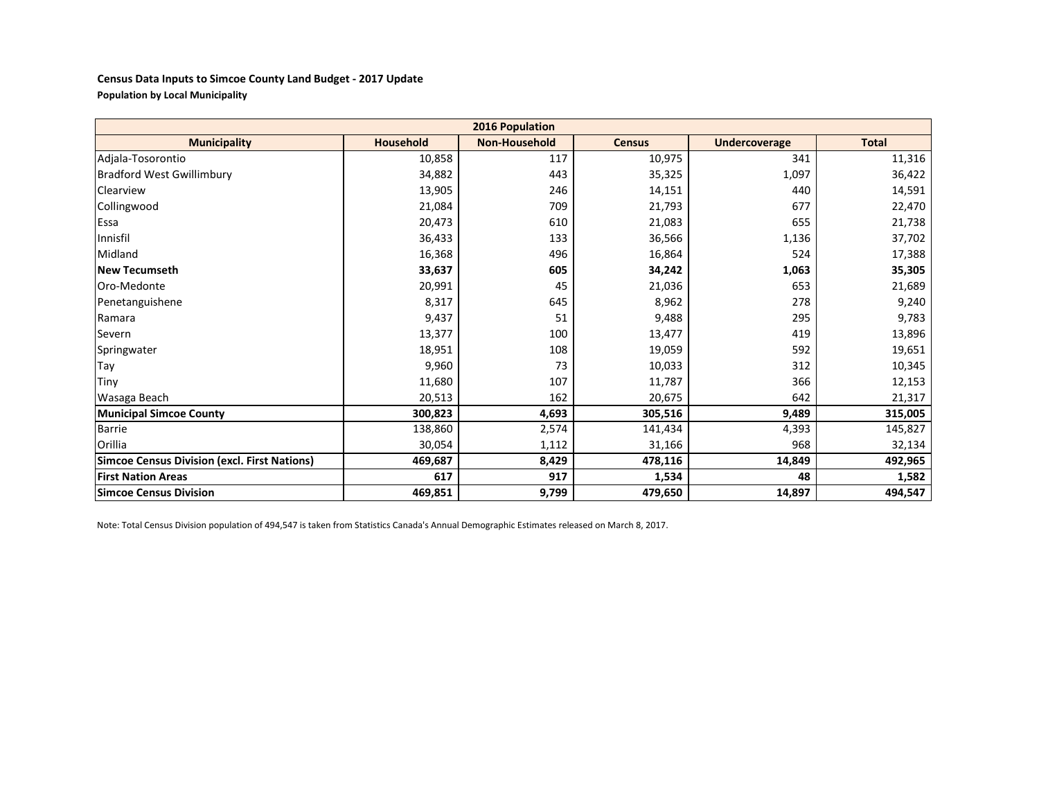#### **Census Data Inputs to Simcoe County Land Budget - 2017 Update Population by Local Municipality**

| 2016 Population                                     |                  |                      |               |                      |              |  |  |  |  |  |  |
|-----------------------------------------------------|------------------|----------------------|---------------|----------------------|--------------|--|--|--|--|--|--|
| <b>Municipality</b>                                 | <b>Household</b> | <b>Non-Household</b> | <b>Census</b> | <b>Undercoverage</b> | <b>Total</b> |  |  |  |  |  |  |
| Adjala-Tosorontio                                   | 10,858           | 117                  | 10,975        | 341                  | 11,316       |  |  |  |  |  |  |
| <b>Bradford West Gwillimbury</b>                    | 34,882           | 443                  | 35,325        | 1,097                | 36,422       |  |  |  |  |  |  |
| Clearview                                           | 13,905           | 246                  | 14,151        | 440                  | 14,591       |  |  |  |  |  |  |
| Collingwood                                         | 21,084           | 709                  | 21,793        | 677                  | 22,470       |  |  |  |  |  |  |
| Essa                                                | 20,473           | 610                  | 21,083        | 655                  | 21,738       |  |  |  |  |  |  |
| Innisfil                                            | 36,433           | 133                  | 36,566        | 1,136                | 37,702       |  |  |  |  |  |  |
| Midland                                             | 16,368           | 496                  | 16,864        | 524                  | 17,388       |  |  |  |  |  |  |
| <b>New Tecumseth</b>                                | 33,637           | 605                  | 34,242        | 1,063                | 35,305       |  |  |  |  |  |  |
| Oro-Medonte                                         | 20,991           | 45                   | 21,036        | 653                  | 21,689       |  |  |  |  |  |  |
| Penetanguishene                                     | 8,317            | 645                  | 8,962         | 278                  | 9,240        |  |  |  |  |  |  |
| Ramara                                              | 9,437            | 51                   | 9,488         | 295                  | 9,783        |  |  |  |  |  |  |
| Severn                                              | 13,377           | 100                  | 13,477        | 419                  | 13,896       |  |  |  |  |  |  |
| Springwater                                         | 18,951           | 108                  | 19,059        | 592                  | 19,651       |  |  |  |  |  |  |
| Tay                                                 | 9,960            | 73                   | 10,033        | 312                  | 10,345       |  |  |  |  |  |  |
| <b>Tiny</b>                                         | 11,680           | 107                  | 11,787        | 366                  | 12,153       |  |  |  |  |  |  |
| Wasaga Beach                                        | 20,513           | 162                  | 20,675        | 642                  | 21,317       |  |  |  |  |  |  |
| <b>Municipal Simcoe County</b>                      | 300,823          | 4,693                | 305,516       | 9,489                | 315,005      |  |  |  |  |  |  |
| <b>Barrie</b>                                       | 138,860          | 2,574                | 141,434       | 4,393                | 145,827      |  |  |  |  |  |  |
| Orillia                                             | 30,054           | 1,112                | 31,166        | 968                  | 32,134       |  |  |  |  |  |  |
| <b>Simcoe Census Division (excl. First Nations)</b> | 469,687          | 8,429                | 478,116       | 14,849               | 492,965      |  |  |  |  |  |  |
| <b>First Nation Areas</b>                           | 617              | 917                  | 1,534         | 48                   | 1,582        |  |  |  |  |  |  |
| <b>Simcoe Census Division</b>                       | 469,851          | 9,799                | 479,650       | 14,897               | 494,547      |  |  |  |  |  |  |

Note: Total Census Division population of 494,547 is taken from Statistics Canada's Annual Demographic Estimates released on March 8, 2017.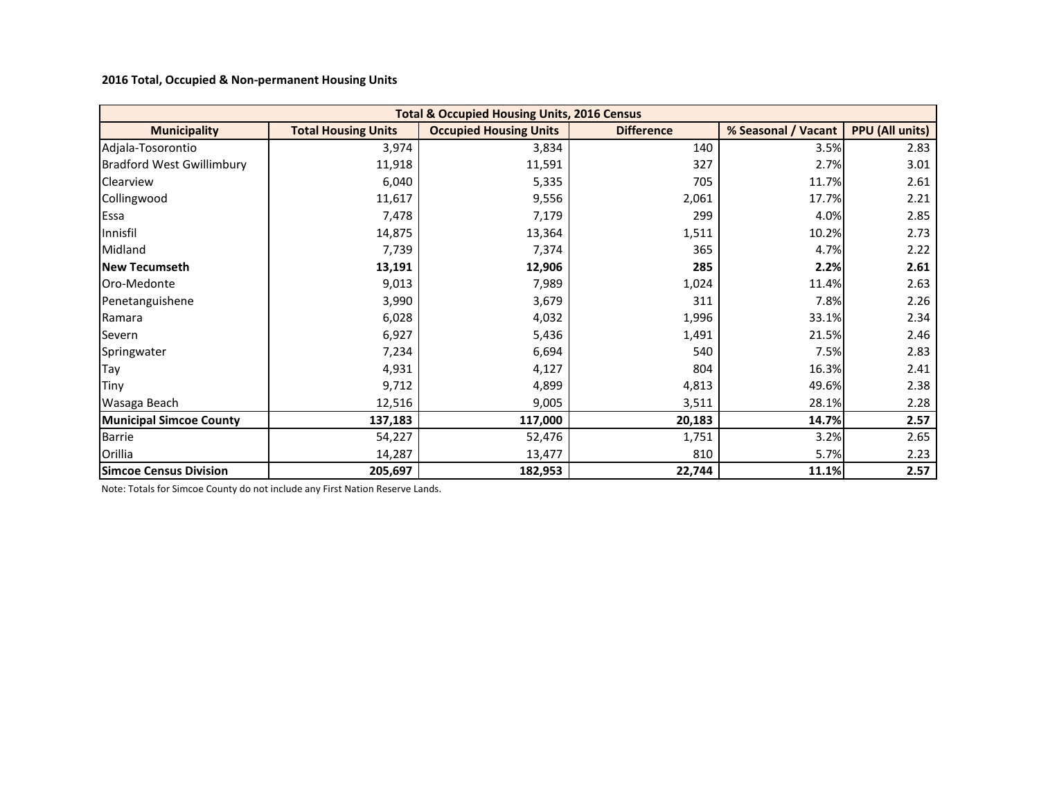**2016 Total, Occupied & Non-permanent Housing Units** 

| <b>Total &amp; Occupied Housing Units, 2016 Census</b> |                            |                               |                   |                     |                        |  |  |  |  |  |  |  |
|--------------------------------------------------------|----------------------------|-------------------------------|-------------------|---------------------|------------------------|--|--|--|--|--|--|--|
| <b>Municipality</b>                                    | <b>Total Housing Units</b> | <b>Occupied Housing Units</b> | <b>Difference</b> | % Seasonal / Vacant | <b>PPU (All units)</b> |  |  |  |  |  |  |  |
| Adjala-Tosorontio                                      | 3,974                      | 3,834                         | 140               | 3.5%                | 2.83                   |  |  |  |  |  |  |  |
| <b>Bradford West Gwillimbury</b>                       | 11,918                     | 11,591                        | 327               | 2.7%                | 3.01                   |  |  |  |  |  |  |  |
| Clearview                                              | 6,040                      | 5,335                         | 705               | 11.7%               | 2.61                   |  |  |  |  |  |  |  |
| Collingwood                                            | 11,617                     | 9,556                         | 2,061             | 17.7%               | 2.21                   |  |  |  |  |  |  |  |
| Essa                                                   | 7,478                      | 7,179                         | 299               | 4.0%                | 2.85                   |  |  |  |  |  |  |  |
| Innisfil                                               | 14,875                     | 13,364                        | 1,511             | 10.2%               | 2.73                   |  |  |  |  |  |  |  |
| Midland                                                | 7,739                      | 7,374                         | 365               | 4.7%                | 2.22                   |  |  |  |  |  |  |  |
| <b>New Tecumseth</b>                                   | 13,191                     | 12,906                        | 285               | 2.2%                | 2.61                   |  |  |  |  |  |  |  |
| Oro-Medonte                                            | 9,013                      | 7,989                         | 1,024             | 11.4%               | 2.63                   |  |  |  |  |  |  |  |
| Penetanguishene                                        | 3,990                      | 3,679                         | 311               | 7.8%                | 2.26                   |  |  |  |  |  |  |  |
| Ramara                                                 | 6,028                      | 4,032                         | 1,996             | 33.1%               | 2.34                   |  |  |  |  |  |  |  |
| Severn                                                 | 6,927                      | 5,436                         | 1,491             | 21.5%               | 2.46                   |  |  |  |  |  |  |  |
| Springwater                                            | 7,234                      | 6,694                         | 540               | 7.5%                | 2.83                   |  |  |  |  |  |  |  |
| Tay                                                    | 4,931                      | 4,127                         | 804               | 16.3%               | 2.41                   |  |  |  |  |  |  |  |
| Tiny                                                   | 9,712                      | 4,899                         | 4,813             | 49.6%               | 2.38                   |  |  |  |  |  |  |  |
| Wasaga Beach                                           | 12,516                     | 9,005                         | 3,511             | 28.1%               | 2.28                   |  |  |  |  |  |  |  |
| <b>Municipal Simcoe County</b>                         | 137,183                    | 117,000                       | 20,183            | 14.7%               | 2.57                   |  |  |  |  |  |  |  |
| <b>Barrie</b>                                          | 54,227                     | 52,476                        | 1,751             | 3.2%                | 2.65                   |  |  |  |  |  |  |  |
| Orillia                                                | 14,287                     | 13,477                        | 810               | 5.7%                | 2.23                   |  |  |  |  |  |  |  |
| <b>Simcoe Census Division</b>                          | 205,697                    | 182,953                       | 22,744            | 11.1%               | 2.57                   |  |  |  |  |  |  |  |

Note: Totals for Simcoe County do not include any First Nation Reserve Lands.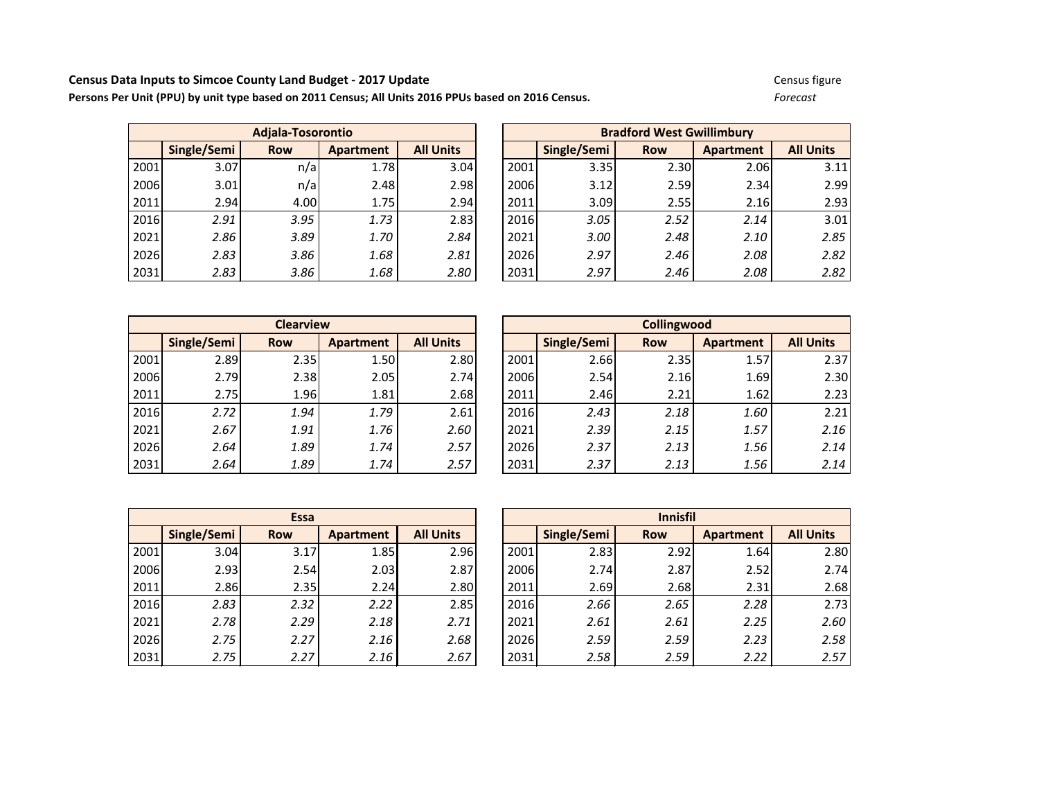**Census Data Inputs to Simcoe County Land Budget - 2017 Update Census based on 2016 Census.** Census figure Census figure<br> **Persons Per Unit (PPU) by unit type based on 2011 Census; All Units 2016 PPUs based on 2016 Censu** Persons Per Unit (PPU) by unit type based on 2011 Census; All Units 2016 PPUs based on 2016 Census.

|      |             | Adjala-Tosorontio |                  |                  |      | <b>Bradford West Gwillimbury</b> |            |                  |                  |
|------|-------------|-------------------|------------------|------------------|------|----------------------------------|------------|------------------|------------------|
|      | Single/Semi | <b>Row</b>        | <b>Apartment</b> | <b>All Units</b> |      | Single/Semi                      | <b>Row</b> | <b>Apartment</b> | <b>All Units</b> |
| 2001 | 3.07        | n/a               | 1.78             | 3.04             | 2001 | 3.35                             | 2.30       | 2.06I            | 3.11             |
| 2006 | 3.01        | n/a               | 2.48             | 2.98             | 2006 | 3.12                             | 2.59       | 2.34             | 2.99             |
| 2011 | 2.94        | 4.00              | 1.75             | 2.94             | 2011 | 3.09                             | 2.55       | 2.16             | 2.93             |
| 2016 | 2.91        | 3.95              | 1.73             | 2.83             | 2016 | 3.05                             | 2.52       | 2.14             | 3.01             |
| 2021 | 2.86        | 3.89              | 1.70             | 2.84             | 2021 | 3.00                             | 2.48       | 2.10             | 2.85             |
| 2026 | 2.83        | 3.86              | 1.68             | 2.81             | 2026 | 2.97                             | 2.46       | 2.08             | 2.82             |
| 2031 | 2.83        | 3.86              | 1.68             | 2.80             | 2031 | 2.97                             | 2.46       | 2.08             | 2.82             |

|             | <b>Adjala-Tosorontio</b> |                  |                  | <b>Bradford West Gwillimbury</b> |             |            |           |                  |  |
|-------------|--------------------------|------------------|------------------|----------------------------------|-------------|------------|-----------|------------------|--|
| Single/Semi | <b>Row</b>               | <b>Apartment</b> | <b>All Units</b> |                                  | Single/Semi | <b>Row</b> | Apartment | <b>All Units</b> |  |
| 3.07        | n/a                      | 1.78             | 3.04             | 2001                             | 3.35        | 2.30       | 2.06      | 3.11             |  |
| 3.01        | n/a                      | 2.48             | 2.98             | 2006                             | 3.12        | 2.59       | 2.34      | 2.99             |  |
| 2.94        | 4.00                     | 1.75             | 2.94             | 2011                             | 3.09        | 2.55       | 2.16      | 2.93             |  |
| 2.91        | 3.95                     | 1.73             | 2.83             | 2016                             | 3.05        | 2.52       | 2.14      | 3.01             |  |
| 2.86        | 3.89                     | 1.70             | 2.84             | 2021                             | 3.00        | 2.48       | 2.10      | 2.85             |  |
| 2.83        | 3.86                     | 1.68             | 2.81             | 2026                             | 2.97        | 2.46       | 2.08      | 2.82             |  |
| 2.83        | 3.86                     | 1.68             | 2.80             | 2031                             | 2.97        | 2.46       | 2.08      | 2.82             |  |

|      |             | <b>Clearview</b> |           |                  |      |             | <b>Collingwood</b> |                  |                  |
|------|-------------|------------------|-----------|------------------|------|-------------|--------------------|------------------|------------------|
|      | Single/Semi | <b>Row</b>       | Apartment | <b>All Units</b> |      | Single/Semi | <b>Row</b>         | <b>Apartment</b> | <b>All Units</b> |
| 2001 | 2.89        | 2.35             | 1.50      | 2.80             | 2001 | 2.66        | 2.35               | 1.57             | 2.37             |
| 2006 | 2.79        | 2.38             | 2.05      | 2.74             | 2006 | 2.54        | 2.16               | 1.69             | 2.30             |
| 2011 | 2.75        | 1.96             | 1.81      | 2.68             | 2011 | 2.46        | 2.21               | 1.62             | 2.23             |
| 2016 | 2.72        | 1.94             | 1.79      | 2.61             | 2016 | 2.43        | 2.18               | 1.60             | 2.21             |
| 2021 | 2.67        | 1.91             | 1.76      | 2.60             | 2021 | 2.39        | 2.15               | 1.57             | 2.16             |
| 2026 | 2.64        | 1.89             | 1.74      | 2.57             | 2026 | 2.37        | 2.13               | 1.56             | 2.14             |
| 2031 | 2.64        | 1.89             | 1.74      | 2.57             | 2031 | 2.37        | 2.13               | 1.56             | 2.14             |

|             | <b>Clearview</b> |           |                  | <b>Collingwood</b> |             |            |           |                  |  |
|-------------|------------------|-----------|------------------|--------------------|-------------|------------|-----------|------------------|--|
| Single/Semi | <b>Row</b>       | Apartment | <b>All Units</b> |                    | Single/Semi | <b>Row</b> | Apartment | <b>All Units</b> |  |
| 2.89        | 2.35             | 1.50      | 2.80             | 2001               | 2.66        | 2.35       | 1.57      | 2.37             |  |
| 2.79        | 2.38             | 2.05      | 2.74             | 2006               | 2.54        | 2.16       | 1.69      | 2.30             |  |
| 2.75        | 1.96             | 1.81      | 2.68             | 2011               | 2.46        | 2.21       | 1.62      | 2.23             |  |
| 2.72        | 1.94             | 1.79      | 2.61             | 2016               | 2.43        | 2.18       | 1.60      | 2.21             |  |
| 2.67        | 1.91             | 1.76      | 2.60             | 2021               | 2.39        | 2.15       | 1.57      | 2.16             |  |
| 2.64        | 1.89             | 1.74      | 2.57             | 2026               | 2.37        | 2.13       | 1.56      | 2.14             |  |
| 2.64        | 1.89             | 1.74      | 2.57             | 2031               | 2.37        | 2.13       | 1.56      | 2.14             |  |

|      | <b>Essa</b> |            |                  |                  |  |  |  |  |  |  |  |  |
|------|-------------|------------|------------------|------------------|--|--|--|--|--|--|--|--|
|      | Single/Semi | <b>Row</b> | <b>Apartment</b> | <b>All Units</b> |  |  |  |  |  |  |  |  |
| 2001 | 3.04        | 3.17       | 1.85             | 2.96             |  |  |  |  |  |  |  |  |
| 2006 | 2.93        | 2.54       | 2.03             | 2.87             |  |  |  |  |  |  |  |  |
| 2011 | 2.86        | 2.35       | 2.24             | 2.80             |  |  |  |  |  |  |  |  |
| 2016 | 2.83        | 2.32       | 2.22             | 2.85             |  |  |  |  |  |  |  |  |
| 2021 | 2.78        | 2.29       | 2.18             | 2.71             |  |  |  |  |  |  |  |  |
| 2026 | 2.75        | 2.27       | 2.16             | 2.68             |  |  |  |  |  |  |  |  |
| 2031 | 2.75        | 2.27       | 2.16             | 2.67             |  |  |  |  |  |  |  |  |

|      | <b>Essa</b> |            |                  |                  |  | <b>Innisfil</b> |             |            |           |                  |
|------|-------------|------------|------------------|------------------|--|-----------------|-------------|------------|-----------|------------------|
|      | Single/Semi | <b>Row</b> | <b>Apartment</b> | <b>All Units</b> |  |                 | Single/Semi | <b>Row</b> | Apartment | <b>All Units</b> |
| 2001 | 3.04        | 3.17       | 1.85             | 2.96             |  | 2001            | 2.83        | 2.92       | 1.64      | 2.80             |
| 2006 | 2.93        | 2.54       | 2.03             | 2.87             |  | 2006            | 2.74        | 2.87       | 2.52      | 2.74             |
| 2011 | 2.86        | 2.35       | 2.24             | 2.80             |  | 2011            | 2.69        | 2.68       | 2.31      | 2.68             |
| 2016 | 2.83        | 2.32       | 2.22             | 2.85             |  | <b>2016</b>     | 2.66        | 2.65       | 2.28      | 2.73             |
| 2021 | 2.78        | 2.29       | 2.18             | 2.71             |  | 2021            | 2.61        | 2.61       | 2.25      | 2.60             |
| 2026 | 2.75        | 2.27       | 2.16             | 2.68             |  | 2026            | 2.59        | 2.59       | 2.23      | 2.58             |
| 2031 | 2.75        | 2.27       | 2.16             | 2.67             |  | 2031            | 2.58        | 2.59       | 2.22      | 2.57             |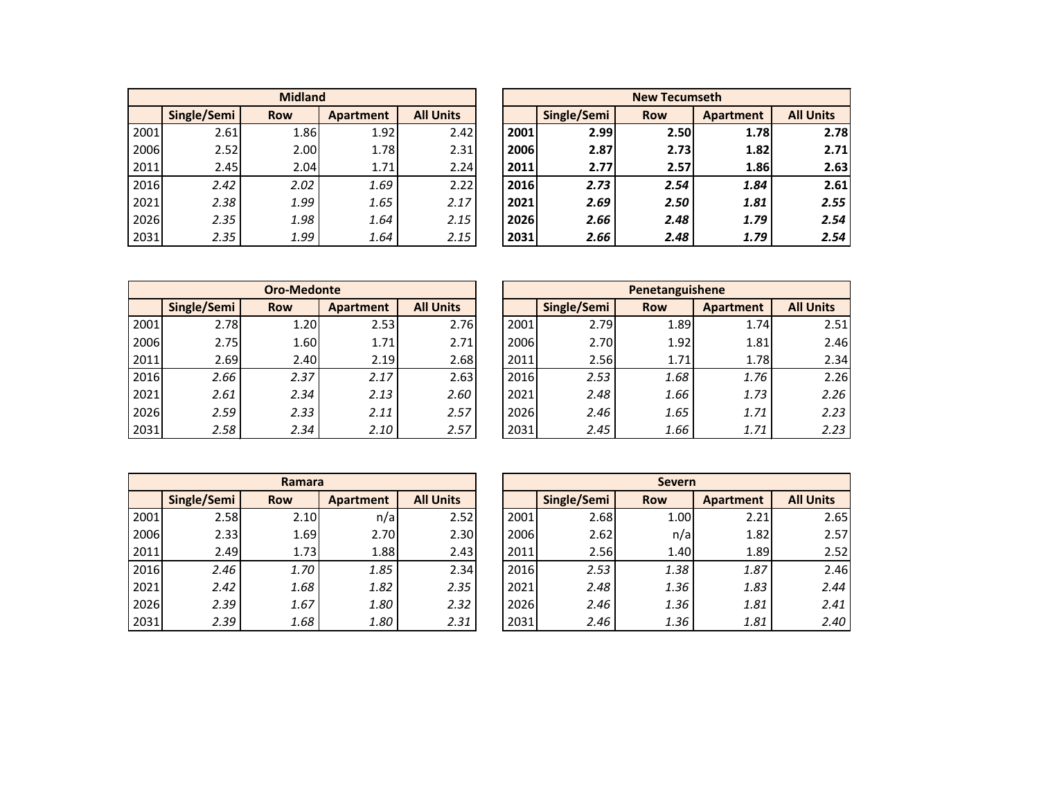|      |             | <b>Midland</b> |           |                  | <b>New Tecumseth</b> |             |            |                  |                  |
|------|-------------|----------------|-----------|------------------|----------------------|-------------|------------|------------------|------------------|
|      | Single/Semi | <b>Row</b>     | Apartment | <b>All Units</b> |                      | Single/Semi | <b>Row</b> | <b>Apartment</b> | <b>All Units</b> |
| 2001 | 2.61        | 1.86           | 1.92      | 2.42             | 2001                 | 2.99        | 2.50       | 1.78             | 2.78             |
| 2006 | 2.52        | 2.00           | 1.78      | 2.31             | 2006                 | 2.87        | 2.73       | 1.82             | 2.71             |
| 2011 | 2.45        | 2.04           | 1.71      | 2.24             | 2011                 | 2.77        | 2.57       | 1.86             | 2.63             |
| 2016 | 2.42        | 2.02           | 1.69      | 2.22             | 2016                 | 2.73        | 2.54       | 1.84             | 2.61             |
| 2021 | 2.38        | 1.99           | 1.65      | 2.17             | 2021                 | 2.69        | 2.50       | 1.81             | 2.55             |
| 2026 | 2.35        | 1.98           | 1.64      | 2.15             | 2026                 | 2.66        | 2.48       | 1.79             | 2.54             |
| 2031 | 2.35        | 1.99           | 1.64      | 2.15             | 2031                 | 2.66        | 2.48       | 1.79             | 2.54             |

|      |             | <b>Midland</b> |           |                  |                                        | <b>New Tecumseth</b> |      |      |                  |      |
|------|-------------|----------------|-----------|------------------|----------------------------------------|----------------------|------|------|------------------|------|
|      | Single/Semi | <b>Row</b>     | Apartment | <b>All Units</b> | Single/Semi<br><b>Row</b><br>Apartment |                      |      |      | <b>All Units</b> |      |
| 2001 | 2.61        | 1.86           | 1.92      | 2.42             |                                        | 2001                 | 2.99 | 2.50 | 1.78             | 2.78 |
| 2006 | 2.52        | 2.00           | 1.78      | 2.31             |                                        | 2006                 | 2.87 | 2.73 | 1.82             | 2.71 |
| 2011 | 2.45        | 2.04           | 1.71      | 2.24             |                                        | 2011                 | 2.77 | 2.57 | 1.86             | 2.63 |
| 2016 | 2.42        | 2.02           | 1.69      | 2.22             |                                        | 2016                 | 2.73 | 2.54 | 1.84             | 2.61 |
| 2021 | 2.38        | 1.99           | 1.65      | 2.17             |                                        | 2021                 | 2.69 | 2.50 | 1.81             | 2.55 |
| 2026 | 2.35        | 1.98           | 1.64      | 2.15             |                                        | 2026                 | 2.66 | 2.48 | 1.79             | 2.54 |
| 2031 | 2.35        | 1.99           | 1.64      | 2.15             |                                        | 2031                 | 2.66 | 2.48 | 1.79             | 2.54 |

|      | <b>Oro-Medonte</b> |            |           |                  |  | Penetanguishene |             |            |           |                  |
|------|--------------------|------------|-----------|------------------|--|-----------------|-------------|------------|-----------|------------------|
|      | Single/Semi        | <b>Row</b> | Apartment | <b>All Units</b> |  |                 | Single/Semi | <b>Row</b> | Apartment | <b>All Units</b> |
| 2001 | 2.78               | 1.20       | 2.53      | 2.76             |  | 2001            | 2.79        | 1.89       | 1.74      | 2.51             |
| 2006 | 2.75               | 1.60       | 1.71      | 2.71             |  | 2006            | 2.70        | 1.92       | 1.81      | 2.46             |
| 2011 | 2.69               | 2.40       | 2.19      | 2.68             |  | 2011            | 2.56        | 1.71       | 1.78      | 2.34             |
| 2016 | 2.66               | 2.37       | 2.17      | 2.63             |  | 2016            | 2.53        | 1.68       | 1.76      | 2.26             |
| 2021 | 2.61               | 2.34       | 2.13      | 2.60             |  | 2021            | 2.48        | 1.66       | 1.73      | 2.26             |
| 2026 | 2.59               | 2.33       | 2.11      | 2.57             |  | 2026            | 2.46        | 1.65       | 1.71      | 2.23             |
| 2031 | 2.58               | 2.34       | 2.10      | 2.57             |  | 2031            | 2.45        | 1.66       | 1.71      | 2.23             |

|             | <b>Oro-Medonte</b> |           |                  | Penetanguishene |             |            |           |                  |
|-------------|--------------------|-----------|------------------|-----------------|-------------|------------|-----------|------------------|
| Single/Semi | <b>Row</b>         | Apartment | <b>All Units</b> |                 | Single/Semi | <b>Row</b> | Apartment | <b>All Units</b> |
| 2.78        | 1.20               | 2.53      | 2.76             | 2001            | 2.79        | 1.89       | 1.74      | 2.51             |
| 2.75        | 1.60               | 1.71      | 2.71             | 2006            | 2.70        | 1.92       | 1.81      | 2.46             |
| 2.69        | 2.40               | 2.19      | 2.68             | 2011            | 2.56        | 1.71       | 1.78      | 2.34             |
| 2.66        | 2.37               | 2.17      | 2.63             | 2016            | 2.53        | 1.68       | 1.76      | 2.26             |
| 2.61        | 2.34               | 2.13      | 2.60             | 2021            | 2.48        | 1.66       | 1.73      | 2.26             |
| 2.59        | 2.33               | 2.11      | 2.57             | 2026            | 2.46        | 1.65       | 1.71      | 2.23             |
| 2.58        | 2.34               | 2.10      | 2.57             | 2031            | 2.45        | 1.66       | 1.71      | 2.23             |

|      |             | Ramara     |                  |                  | <b>Severn</b> |             |            |           |  |
|------|-------------|------------|------------------|------------------|---------------|-------------|------------|-----------|--|
|      | Single/Semi | <b>Row</b> | <b>Apartment</b> | <b>All Units</b> |               | Single/Semi | <b>Row</b> | Apartment |  |
| 2001 | 2.58        | 2.10       | n/a              | 2.52             | 2001          | 2.68        | 1.00       | 2.21      |  |
| 2006 | 2.33        | 1.69       | 2.70             | 2.30             | 2006          | 2.62        | n/a        | 1.82      |  |
| 2011 | 2.49        | 1.73       | 1.88             | 2.43             | 2011          | 2.56        | 1.40       | 1.89      |  |
| 2016 | 2.46        | 1.70       | 1.85             | 2.34             | 2016          | 2.53        | 1.38       | 1.87      |  |
| 2021 | 2.42        | 1.68       | 1.82             | 2.35             | 2021          | 2.48        | 1.36       | 1.83      |  |
| 2026 | 2.39        | 1.67       | 1.80             | 2.32             | 2026          | 2.46        | 1.36       | 1.81      |  |
| 2031 | 2.39        | 1.68       | 1.80             | 2.31             | 2031          | 2.46        | 1.36       | 1.81      |  |

|      | Ramara      |            |           |                  |  | <b>Severn</b> |             |            |           |                  |
|------|-------------|------------|-----------|------------------|--|---------------|-------------|------------|-----------|------------------|
|      | Single/Semi | <b>Row</b> | Apartment | <b>All Units</b> |  |               | Single/Semi | <b>Row</b> | Apartment | <b>All Units</b> |
| 2001 | 2.58        | 2.10       | n/a       | 2.52             |  | 2001          | 2.68        | 1.00       | 2.21      | 2.65             |
| 2006 | 2.33        | 1.69       | 2.70      | 2.30             |  | 2006          | 2.62        | n/a        | 1.82      | 2.57             |
| 2011 | 2.49        | 1.73       | 1.88      | 2.43             |  | 2011          | 2.56        | 1.40       | 1.89      | 2.52             |
| 2016 | 2.46        | 1.70       | 1.85      | 2.34             |  | 2016          | 2.53        | 1.38       | 1.87      | 2.46             |
| 2021 | 2.42        | 1.68       | 1.82      | 2.35             |  | 2021          | 2.48        | 1.36       | 1.83      | 2.44             |
| 2026 | 2.39        | 1.67       | 1.80      | 2.32             |  | 2026          | 2.46        | 1.36       | 1.81      | 2.41             |
| 2031 | 2.39        | 1.68       | 1.80      | 2.31             |  | 2031          | 2.46        | 1.36       | 1.81      | 2.40             |